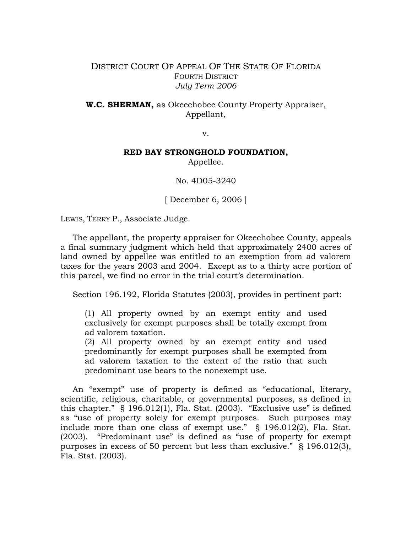## DISTRICT COURT OF APPEAL OF THE STATE OF FLORIDA FOURTH DISTRICT *July Term 2006*

**W.C. SHERMAN,** as Okeechobee County Property Appraiser, Appellant,

v.

## **RED BAY STRONGHOLD FOUNDATION,**

Appellee.

No. 4D05-3240

[ December 6, 2006 ]

LEWIS, TERRY P., Associate Judge.

The appellant, the property appraiser for Okeechobee County, appeals a final summary judgment which held that approximately 2400 acres of land owned by appellee was entitled to an exemption from ad valorem taxes for the years 2003 and 2004. Except as to a thirty acre portion of this parcel, we find no error in the trial court's determination.

Section 196.192, Florida Statutes (2003), provides in pertinent part:

(1) All property owned by an exempt entity and used exclusively for exempt purposes shall be totally exempt from ad valorem taxation.

(2) All property owned by an exempt entity and used predominantly for exempt purposes shall be exempted from ad valorem taxation to the extent of the ratio that such predominant use bears to the nonexempt use.

 An "exempt" use of property is defined as "educational, literary, scientific, religious, charitable, or governmental purposes, as defined in this chapter." § 196.012(1), Fla. Stat. (2003). "Exclusive use" is defined as "use of property solely for exempt purposes. Such purposes may include more than one class of exempt use." § 196.012(2), Fla. Stat. (2003). "Predominant use" is defined as "use of property for exempt purposes in excess of 50 percent but less than exclusive." § 196.012(3), Fla. Stat. (2003).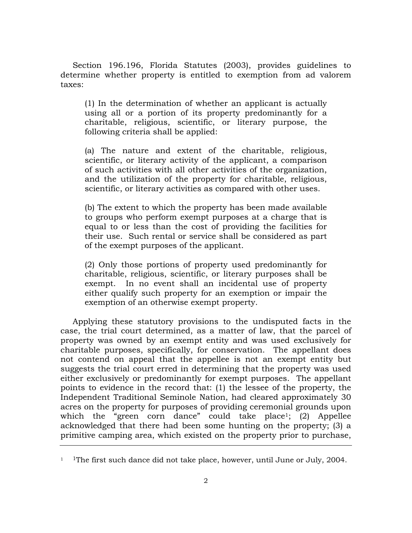Section 196.196, Florida Statutes (2003), provides guidelines to determine whether property is entitled to exemption from ad valorem taxes:

(1) In the determination of whether an applicant is actually using all or a portion of its property predominantly for a charitable, religious, scientific, or literary purpose, the following criteria shall be applied:

(a) The nature and extent of the charitable, religious, scientific, or literary activity of the applicant, a comparison of such activities with all other activities of the organization, and the utilization of the property for charitable, religious, scientific, or literary activities as compared with other uses.

(b) The extent to which the property has been made available to groups who perform exempt purposes at a charge that is equal to or less than the cost of providing the facilities for their use. Such rental or service shall be considered as part of the exempt purposes of the applicant.

(2) Only those portions of property used predominantly for charitable, religious, scientific, or literary purposes shall be exempt. In no event shall an incidental use of property either qualify such property for an exemption or impair the exemption of an otherwise exempt property.

Applying these statutory provisions to the undisputed facts in the case, the trial court determined, as a matter of law, that the parcel of property was owned by an exempt entity and was used exclusively for charitable purposes, specifically, for conservation. The appellant does not contend on appeal that the appellee is not an exempt entity but suggests the trial court erred in determining that the property was used either exclusively or predominantly for exempt purposes. The appellant points to evidence in the record that: (1) the lessee of the property, the Independent Traditional Seminole Nation, had cleared approximately 30 acres on the property for purposes of providing ceremonial grounds upon which the "green corn dance" could take place<sup>1</sup>; (2) Appellee acknowledged that there had been some hunting on the property; (3) a primitive camping area, which existed on the property prior to purchase,

<sup>&</sup>lt;sup>1</sup> <sup>1</sup>The first such dance did not take place, however, until June or July, 2004.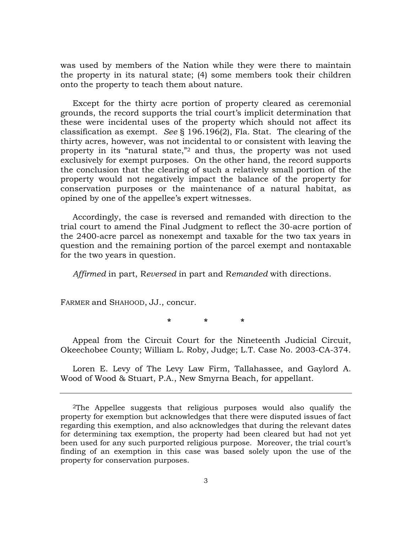was used by members of the Nation while they were there to maintain the property in its natural state; (4) some members took their children onto the property to teach them about nature.

Except for the thirty acre portion of property cleared as ceremonial grounds, the record supports the trial court's implicit determination that these were incidental uses of the property which should not affect its classification as exempt. *See* § 196.196(2), Fla. Stat. The clearing of the thirty acres, however, was not incidental to or consistent with leaving the property in its "natural state,"2 and thus, the property was not used exclusively for exempt purposes. On the other hand, the record supports the conclusion that the clearing of such a relatively small portion of the property would not negatively impact the balance of the property for conservation purposes or the maintenance of a natural habitat, as opined by one of the appellee's expert witnesses.

Accordingly, the case is reversed and remanded with direction to the trial court to amend the Final Judgment to reflect the 30-acre portion of the 2400-acre parcel as nonexempt and taxable for the two tax years in question and the remaining portion of the parcel exempt and nontaxable for the two years in question.

*Affirmed* in part, R*eversed* in part and R*emanded* with directions.

FARMER and SHAHOOD, JJ., concur.

**\* \* \*** 

Appeal from the Circuit Court for the Nineteenth Judicial Circuit, Okeechobee County; William L. Roby, Judge; L.T. Case No. 2003-CA-374.

Loren E. Levy of The Levy Law Firm, Tallahassee, and Gaylord A. Wood of Wood & Stuart, P.A., New Smyrna Beach, for appellant.

<sup>2</sup>The Appellee suggests that religious purposes would also qualify the property for exemption but acknowledges that there were disputed issues of fact regarding this exemption, and also acknowledges that during the relevant dates for determining tax exemption, the property had been cleared but had not yet been used for any such purported religious purpose. Moreover, the trial court's finding of an exemption in this case was based solely upon the use of the property for conservation purposes.